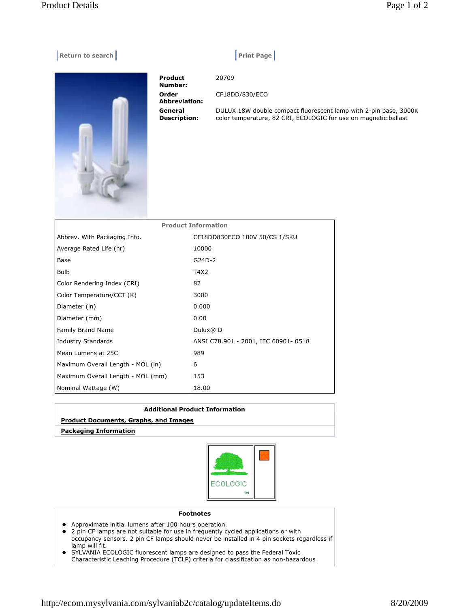## | Return to search | Print Page | Print Page | Print Page | Print Page | Print Page | Print Page | P

 Product Number: 20709 Order Abbreviation: CF18DD/830/ECO General Description: DULUX 18W double compact fluorescent lamp with 2-pin base, 3000K color temperature, 82 CRI, ECOLOGIC for use on magnetic ballast

| <b>Product Information</b>        |                                     |  |  |  |
|-----------------------------------|-------------------------------------|--|--|--|
| Abbrev. With Packaging Info.      | CF18DD830ECO 100V 50/CS 1/SKU       |  |  |  |
| Average Rated Life (hr)           | 10000                               |  |  |  |
| Base                              | G24D-2                              |  |  |  |
| <b>Bulb</b>                       | T4X2                                |  |  |  |
| Color Rendering Index (CRI)       | 82                                  |  |  |  |
| Color Temperature/CCT (K)         | 3000                                |  |  |  |
| Diameter (in)                     | 0.000                               |  |  |  |
| Diameter (mm)                     | 0.00                                |  |  |  |
| <b>Family Brand Name</b>          | Dulux® D                            |  |  |  |
| Industry Standards                | ANSI C78.901 - 2001, IEC 60901-0518 |  |  |  |
| Mean Lumens at 25C                | 989                                 |  |  |  |
| Maximum Overall Length - MOL (in) | 6                                   |  |  |  |
| Maximum Overall Length - MOL (mm) | 153                                 |  |  |  |
| Nominal Wattage (W)               | 18.00                               |  |  |  |

| <b>Product Documents, Graphs, and Images</b> | <b>Additional Product Information</b> |  |  |  |
|----------------------------------------------|---------------------------------------|--|--|--|
|                                              |                                       |  |  |  |
|                                              | <b>Packaging Information</b>          |  |  |  |



Footnotes

- Approximate initial lumens after 100 hours operation.
- 2 pin CF lamps are not suitable for use in frequently cycled applications or with occupancy sensors. 2 pin CF lamps should never be installed in 4 pin sockets regardless if lamp will fit.
- SYLVANIA ECOLOGIC fluorescent lamps are designed to pass the Federal Toxic Characteristic Leaching Procedure (TCLP) criteria for classification as non-hazardous